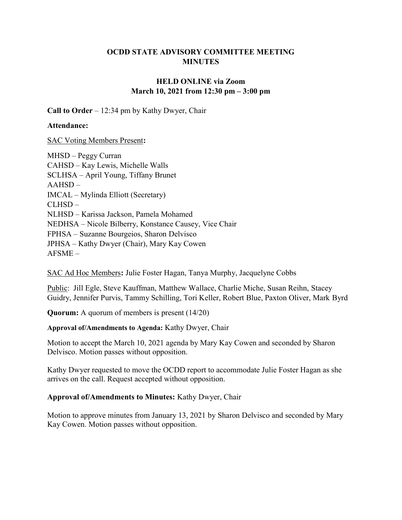# OCDD STATE ADVISORY COMMITTEE MEETING MINUTES

# HELD ONLINE via Zoom March 10, 2021 from 12:30 pm – 3:00 pm

Call to Order – 12:34 pm by Kathy Dwyer, Chair

### Attendance:

SAC Voting Members Present:

MHSD – Peggy Curran CAHSD – Kay Lewis, Michelle Walls SCLHSA – April Young, Tiffany Brunet AAHSD – IMCAL – Mylinda Elliott (Secretary) CLHSD – NLHSD – Karissa Jackson, Pamela Mohamed NEDHSA – Nicole Bilberry, Konstance Causey, Vice Chair FPHSA – Suzanne Bourgeios, Sharon Delvisco JPHSA – Kathy Dwyer (Chair), Mary Kay Cowen AFSME –

SAC Ad Hoc Members: Julie Foster Hagan, Tanya Murphy, Jacquelyne Cobbs

Public: Jill Egle, Steve Kauffman, Matthew Wallace, Charlie Miche, Susan Reihn, Stacey Guidry, Jennifer Purvis, Tammy Schilling, Tori Keller, Robert Blue, Paxton Oliver, Mark Byrd

Quorum: A quorum of members is present (14/20)

# Approval of/Amendments to Agenda: Kathy Dwyer, Chair

Motion to accept the March 10, 2021 agenda by Mary Kay Cowen and seconded by Sharon Delvisco. Motion passes without opposition.

Kathy Dwyer requested to move the OCDD report to accommodate Julie Foster Hagan as she arrives on the call. Request accepted without opposition.

# Approval of/Amendments to Minutes: Kathy Dwyer, Chair

Motion to approve minutes from January 13, 2021 by Sharon Delvisco and seconded by Mary Kay Cowen. Motion passes without opposition.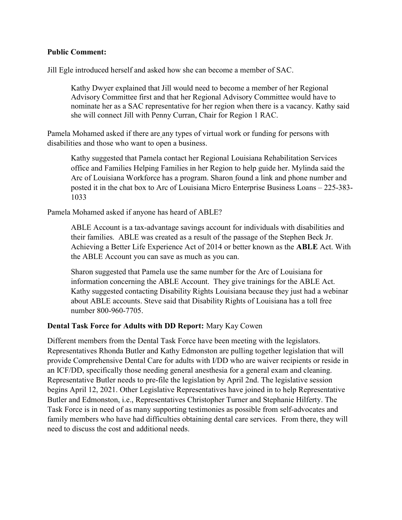### Public Comment:

Jill Egle introduced herself and asked how she can become a member of SAC.

Kathy Dwyer explained that Jill would need to become a member of her Regional Advisory Committee first and that her Regional Advisory Committee would have to nominate her as a SAC representative for her region when there is a vacancy. Kathy said she will connect Jill with Penny Curran, Chair for Region 1 RAC.

Pamela Mohamed asked if there are any types of virtual work or funding for persons with disabilities and those who want to open a business.

Kathy suggested that Pamela contact her Regional Louisiana Rehabilitation Services office and Families Helping Families in her Region to help guide her. Mylinda said the Arc of Louisiana Workforce has a program. Sharon found a link and phone number and posted it in the chat box to Arc of Louisiana Micro Enterprise Business Loans – 225-383- 1033

Pamela Mohamed asked if anyone has heard of ABLE?

ABLE Account is a tax-advantage savings account for individuals with disabilities and their families. ABLE was created as a result of the passage of the Stephen Beck Jr. Achieving a Better Life Experience Act of 2014 or better known as the ABLE Act. With the ABLE Account you can save as much as you can.

Sharon suggested that Pamela use the same number for the Arc of Louisiana for information concerning the ABLE Account. They give trainings for the ABLE Act. Kathy suggested contacting Disability Rights Louisiana because they just had a webinar about ABLE accounts. Steve said that Disability Rights of Louisiana has a toll free number 800-960-7705.

#### Dental Task Force for Adults with DD Report: Mary Kay Cowen

Different members from the Dental Task Force have been meeting with the legislators. Representatives Rhonda Butler and Kathy Edmonston are pulling together legislation that will provide Comprehensive Dental Care for adults with I/DD who are waiver recipients or reside in an ICF/DD, specifically those needing general anesthesia for a general exam and cleaning. Representative Butler needs to pre-file the legislation by April 2nd. The legislative session begins April 12, 2021. Other Legislative Representatives have joined in to help Representative Butler and Edmonston, i.e., Representatives Christopher Turner and Stephanie Hilferty. The Task Force is in need of as many supporting testimonies as possible from self-advocates and family members who have had difficulties obtaining dental care services. From there, they will need to discuss the cost and additional needs.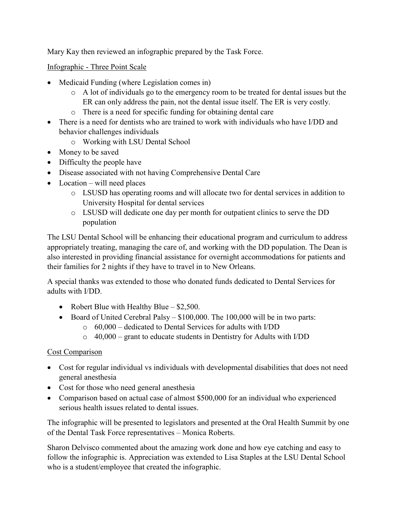Mary Kay then reviewed an infographic prepared by the Task Force.

Infographic - Three Point Scale

- Medicaid Funding (where Legislation comes in)
	- o A lot of individuals go to the emergency room to be treated for dental issues but the ER can only address the pain, not the dental issue itself. The ER is very costly.
	- o There is a need for specific funding for obtaining dental care
- There is a need for dentists who are trained to work with individuals who have I/DD and behavior challenges individuals
	- o Working with LSU Dental School
- Money to be saved
- Difficulty the people have
- Disease associated with not having Comprehensive Dental Care
- $\bullet$  Location will need places
	- o LSUSD has operating rooms and will allocate two for dental services in addition to University Hospital for dental services
	- o LSUSD will dedicate one day per month for outpatient clinics to serve the DD population

The LSU Dental School will be enhancing their educational program and curriculum to address appropriately treating, managing the care of, and working with the DD population. The Dean is also interested in providing financial assistance for overnight accommodations for patients and their families for 2 nights if they have to travel in to New Orleans.

A special thanks was extended to those who donated funds dedicated to Dental Services for adults with I/DD.

- Robert Blue with Healthy Blue  $-$  \$2,500.
- Board of United Cerebral Palsy \$100,000. The 100,000 will be in two parts:
	- o 60,000 dedicated to Dental Services for adults with I/DD
	- $\circ$  40,000 grant to educate students in Dentistry for Adults with I/DD

# Cost Comparison

- Cost for regular individual vs individuals with developmental disabilities that does not need general anesthesia
- Cost for those who need general anesthesia
- Comparison based on actual case of almost \$500,000 for an individual who experienced serious health issues related to dental issues.

The infographic will be presented to legislators and presented at the Oral Health Summit by one of the Dental Task Force representatives – Monica Roberts.

Sharon Delvisco commented about the amazing work done and how eye catching and easy to follow the infographic is. Appreciation was extended to Lisa Staples at the LSU Dental School who is a student/employee that created the infographic.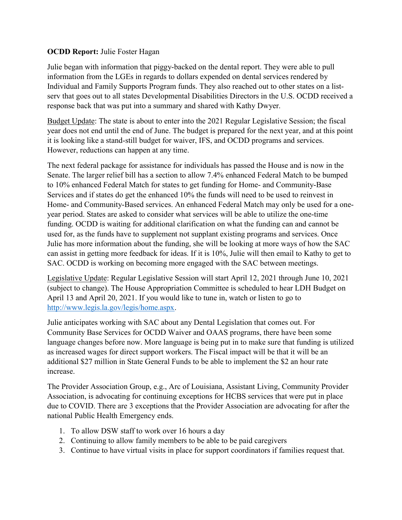## OCDD Report: Julie Foster Hagan

Julie began with information that piggy-backed on the dental report. They were able to pull information from the LGEs in regards to dollars expended on dental services rendered by Individual and Family Supports Program funds. They also reached out to other states on a listserv that goes out to all states Developmental Disabilities Directors in the U.S. OCDD received a response back that was put into a summary and shared with Kathy Dwyer.

Budget Update: The state is about to enter into the 2021 Regular Legislative Session; the fiscal year does not end until the end of June. The budget is prepared for the next year, and at this point it is looking like a stand-still budget for waiver, IFS, and OCDD programs and services. However, reductions can happen at any time.

The next federal package for assistance for individuals has passed the House and is now in the Senate. The larger relief bill has a section to allow 7.4% enhanced Federal Match to be bumped to 10% enhanced Federal Match for states to get funding for Home- and Community-Base Services and if states do get the enhanced 10% the funds will need to be used to reinvest in Home- and Community-Based services. An enhanced Federal Match may only be used for a oneyear period. States are asked to consider what services will be able to utilize the one-time funding. OCDD is waiting for additional clarification on what the funding can and cannot be used for, as the funds have to supplement not supplant existing programs and services. Once Julie has more information about the funding, she will be looking at more ways of how the SAC can assist in getting more feedback for ideas. If it is 10%, Julie will then email to Kathy to get to SAC. OCDD is working on becoming more engaged with the SAC between meetings.

Legislative Update: Regular Legislative Session will start April 12, 2021 through June 10, 2021 (subject to change). The House Appropriation Committee is scheduled to hear LDH Budget on April 13 and April 20, 2021. If you would like to tune in, watch or listen to go to http://www.legis.la.gov/legis/home.aspx.

Julie anticipates working with SAC about any Dental Legislation that comes out. For Community Base Services for OCDD Waiver and OAAS programs, there have been some language changes before now. More language is being put in to make sure that funding is utilized as increased wages for direct support workers. The Fiscal impact will be that it will be an additional \$27 million in State General Funds to be able to implement the \$2 an hour rate increase.

The Provider Association Group, e.g., Arc of Louisiana, Assistant Living, Community Provider Association, is advocating for continuing exceptions for HCBS services that were put in place due to COVID. There are 3 exceptions that the Provider Association are advocating for after the national Public Health Emergency ends.

- 1. To allow DSW staff to work over 16 hours a day
- 2. Continuing to allow family members to be able to be paid caregivers
- 3. Continue to have virtual visits in place for support coordinators if families request that.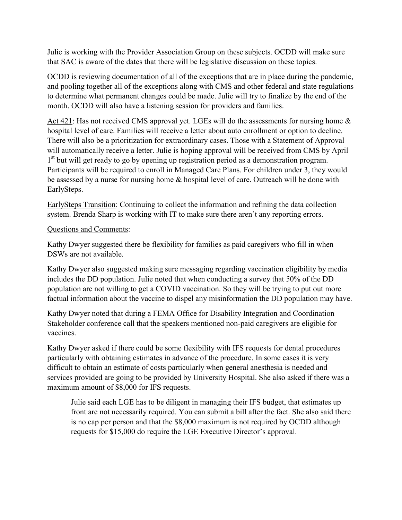Julie is working with the Provider Association Group on these subjects. OCDD will make sure that SAC is aware of the dates that there will be legislative discussion on these topics.

OCDD is reviewing documentation of all of the exceptions that are in place during the pandemic, and pooling together all of the exceptions along with CMS and other federal and state regulations to determine what permanent changes could be made. Julie will try to finalize by the end of the month. OCDD will also have a listening session for providers and families.

Act 421: Has not received CMS approval yet. LGEs will do the assessments for nursing home & hospital level of care. Families will receive a letter about auto enrollment or option to decline. There will also be a prioritization for extraordinary cases. Those with a Statement of Approval will automatically receive a letter. Julie is hoping approval will be received from CMS by April 1<sup>st</sup> but will get ready to go by opening up registration period as a demonstration program. Participants will be required to enroll in Managed Care Plans. For children under 3, they would be assessed by a nurse for nursing home & hospital level of care. Outreach will be done with EarlySteps.

EarlySteps Transition: Continuing to collect the information and refining the data collection system. Brenda Sharp is working with IT to make sure there aren't any reporting errors.

### Questions and Comments:

Kathy Dwyer suggested there be flexibility for families as paid caregivers who fill in when DSWs are not available.

Kathy Dwyer also suggested making sure messaging regarding vaccination eligibility by media includes the DD population. Julie noted that when conducting a survey that 50% of the DD population are not willing to get a COVID vaccination. So they will be trying to put out more factual information about the vaccine to dispel any misinformation the DD population may have.

Kathy Dwyer noted that during a FEMA Office for Disability Integration and Coordination Stakeholder conference call that the speakers mentioned non-paid caregivers are eligible for vaccines.

Kathy Dwyer asked if there could be some flexibility with IFS requests for dental procedures particularly with obtaining estimates in advance of the procedure. In some cases it is very difficult to obtain an estimate of costs particularly when general anesthesia is needed and services provided are going to be provided by University Hospital. She also asked if there was a maximum amount of \$8,000 for IFS requests.

Julie said each LGE has to be diligent in managing their IFS budget, that estimates up front are not necessarily required. You can submit a bill after the fact. She also said there is no cap per person and that the \$8,000 maximum is not required by OCDD although requests for \$15,000 do require the LGE Executive Director's approval.